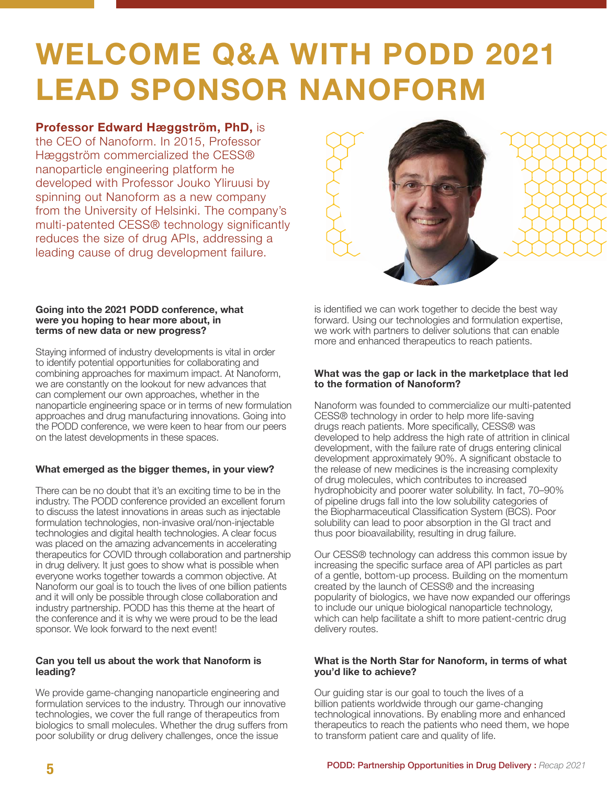# **WELCOME Q&A WITH PODD 2021 LEAD SPONSOR NANOFORM**

**Professor Edward Hæggström, PhD,** is the CEO of Nanoform. In 2015, Professor Hæggström commercialized the CESS® nanoparticle engineering platform he developed with Professor Jouko Yliruusi by spinning out Nanoform as a new company from the University of Helsinki. The company's multi-patented CESS® technology significantly reduces the size of drug APIs, addressing a leading cause of drug development failure.





#### **Going into the 2021 PODD conference, what were you hoping to hear more about, in terms of new data or new progress?**

Staying informed of industry developments is vital in order to identify potential opportunities for collaborating and combining approaches for maximum impact. At Nanoform, we are constantly on the lookout for new advances that can complement our own approaches, whether in the nanoparticle engineering space or in terms of new formulation approaches and drug manufacturing innovations. Going into the PODD conference, we were keen to hear from our peers on the latest developments in these spaces.

# **What emerged as the bigger themes, in your view?**

There can be no doubt that it's an exciting time to be in the industry. The PODD conference provided an excellent forum to discuss the latest innovations in areas such as injectable formulation technologies, non-invasive oral/non-injectable technologies and digital health technologies. A clear focus was placed on the amazing advancements in accelerating therapeutics for COVID through collaboration and partnership in drug delivery. It just goes to show what is possible when everyone works together towards a common objective. At Nanoform our goal is to touch the lives of one billion patients and it will only be possible through close collaboration and industry partnership. PODD has this theme at the heart of the conference and it is why we were proud to be the lead sponsor. We look forward to the next event!

#### **Can you tell us about the work that Nanoform is leading?**

We provide game-changing nanoparticle engineering and formulation services to the industry. Through our innovative technologies, we cover the full range of therapeutics from biologics to small molecules. Whether the drug sufers from poor solubility or drug delivery challenges, once the issue

is identifed we can work together to decide the best way forward. Using our technologies and formulation expertise, we work with partners to deliver solutions that can enable more and enhanced therapeutics to reach patients.

## **What was the gap or lack in the marketplace that led to the formation of Nanoform?**

Nanoform was founded to commercialize our multi-patented CESS® technology in order to help more life-saving drugs reach patients. More specifcally, CESS® was developed to help address the high rate of attrition in clinical development, with the failure rate of drugs entering clinical development approximately 90%. A significant obstacle to the release of new medicines is the increasing complexity of drug molecules, which contributes to increased hydrophobicity and poorer water solubility. In fact, 70–90% of pipeline drugs fall into the low solubility categories of the Biopharmaceutical Classifcation System (BCS). Poor solubility can lead to poor absorption in the GI tract and thus poor bioavailability, resulting in drug failure.

Our CESS® technology can address this common issue by increasing the specific surface area of API particles as part of a gentle, bottom-up process. Building on the momentum created by the launch of CESS® and the increasing popularity of biologics, we have now expanded our offerings to include our unique biological nanoparticle technology, which can help facilitate a shift to more patient-centric drug delivery routes.

## **What is the North Star for Nanoform, in terms of what you'd like to achieve?**

Our guiding star is our goal to touch the lives of a billion patients worldwide through our game-changing technological innovations. By enabling more and enhanced therapeutics to reach the patients who need them, we hope to transform patient care and quality of life.